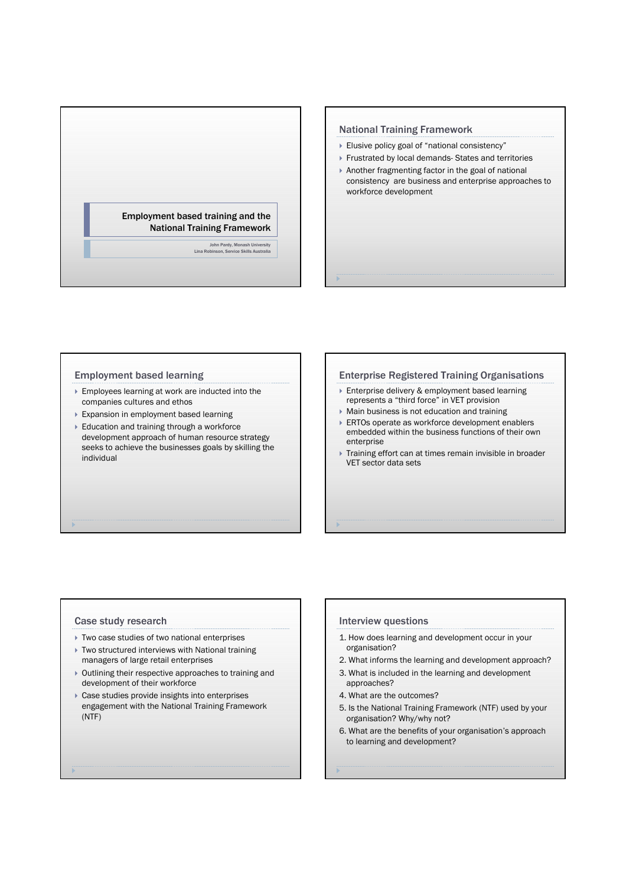

## National Training Framework

- ▶ Elusive policy goal of "national consistency"
- Frustrated by local demands- States and territories
- Another fragmenting factor in the goal of national consistency are business and enterprise approaches to workforce development

## Employment based learning

- Employees learning at work are inducted into the companies cultures and ethos
- Expansion in employment based learning
- Education and training through a workforce development approach of human resource strategy seeks to achieve the businesses goals by skilling the individual

## Enterprise Registered Training Organisations

- ▶ Enterprise delivery & employment based learning represents a "third force" in VET provision
- Main business is not education and training
- ▶ ERTOs operate as workforce development enablers embedded within the business functions of their own enterprise
- Training effort can at times remain invisible in broader VET sector data sets

### Case study research

- Two case studies of two national enterprises
- ▶ Two structured interviews with National training managers of large retail enterprises
- Outlining their respective approaches to training and development of their workforce
- Case studies provide insights into enterprises engagement with the National Training Framework (NTF)

# Interview questions

- 1. How does learning and development occur in your organisation?
- 2. What informs the learning and development approach?
- 3. What is included in the learning and development approaches?
- 4. What are the outcomes?
- 5. Is the National Training Framework (NTF) used by your organisation? Why/why not?
- 6. What are the benefits of your organisation's approach to learning and development?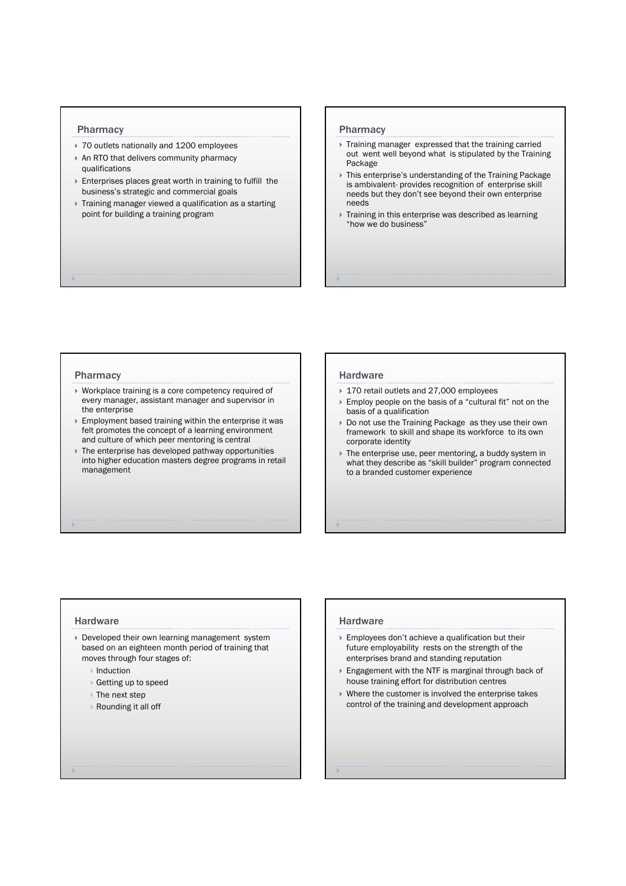## Pharmacy

- ▶ 70 outlets nationally and 1200 employees
- ▶ An RTO that delivers community pharmacy qualifications
- Enterprises places great worth in training to fulfill the business's strategic and commercial goals
- Training manager viewed a qualification as a starting point for building a training program

#### Pharmacy

- Training manager expressed that the training carried out went well beyond what is stipulated by the Training Package
- This enterprise's understanding of the Training Package is ambivalent- provides recognition of enterprise skill needs but they don't see beyond their own enterprise needs
- Training in this enterprise was described as learning "how we do business"

#### Pharmacy

- Workplace training is a core competency required of every manager, assistant manager and supervisor in the enterprise
- Employment based training within the enterprise it was felt promotes the concept of a learning environment and culture of which peer mentoring is central
- The enterprise has developed pathway opportunities into higher education masters degree programs in retail management

## **Hardware**

- ▶ 170 retail outlets and 27,000 employees
- ▶ Employ people on the basis of a "cultural fit" not on the basis of a qualification
- ▶ Do not use the Training Package as they use their own framework to skill and shape its workforce to its own corporate identity
- The enterprise use, peer mentoring, a buddy system in what they describe as "skill builder" program connected to a branded customer experience

## **Hardware**

- Developed their own learning management system based on an eighteen month period of training that moves through four stages of:
	- $\triangleright$  Induction
	- Getting up to speed
	- The next step
	- Rounding it all off

## **Hardware**

- Employees don't achieve a qualification but their future employability rests on the strength of the enterprises brand and standing reputation
- Engagement with the NTF is marginal through back of house training effort for distribution centres
- Where the customer is involved the enterprise takes control of the training and development approach